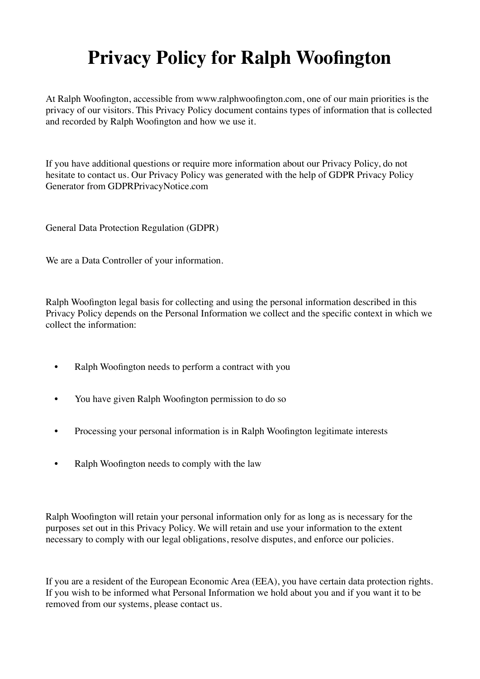## **Privacy Policy for Ralph Woofington**

At Ralph Woofington, accessible from www.ralphwoofington.com, one of our main priorities is the privacy of our visitors. This Privacy Policy document contains types of information that is collected and recorded by Ralph Woofington and how we use it.

If you have additional questions or require more information about our Privacy Policy, do not hesitate to contact us. Our Privacy Policy was generated with the help of GDPR Privacy Policy Generator from GDPRPrivacyNotice.com

General Data Protection Regulation (GDPR)

We are a Data Controller of your information.

Ralph Woofington legal basis for collecting and using the personal information described in this Privacy Policy depends on the Personal Information we collect and the specific context in which we collect the information:

- Ralph Woofington needs to perform a contract with you
- You have given Ralph Woofington permission to do so
- Processing your personal information is in Ralph Woofington legitimate interests
- Ralph Woofington needs to comply with the law

Ralph Woofington will retain your personal information only for as long as is necessary for the purposes set out in this Privacy Policy. We will retain and use your information to the extent necessary to comply with our legal obligations, resolve disputes, and enforce our policies.

If you are a resident of the European Economic Area (EEA), you have certain data protection rights. If you wish to be informed what Personal Information we hold about you and if you want it to be removed from our systems, please contact us.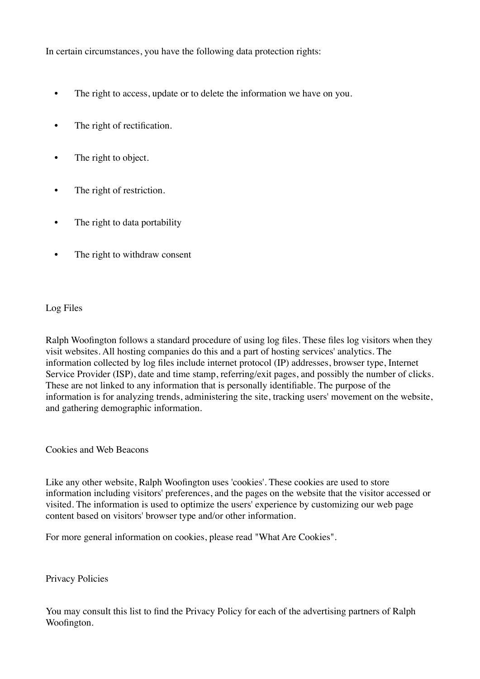In certain circumstances, you have the following data protection rights:

- The right to access, update or to delete the information we have on you.
- The right of rectification.
- The right to object.
- The right of restriction.
- The right to data portability
- The right to withdraw consent

## Log Files

Ralph Woofington follows a standard procedure of using log files. These files log visitors when they visit websites. All hosting companies do this and a part of hosting services' analytics. The information collected by log files include internet protocol (IP) addresses, browser type, Internet Service Provider (ISP), date and time stamp, referring/exit pages, and possibly the number of clicks. These are not linked to any information that is personally identifiable. The purpose of the information is for analyzing trends, administering the site, tracking users' movement on the website, and gathering demographic information.

Cookies and Web Beacons

Like any other website, Ralph Woofington uses 'cookies'. These cookies are used to store information including visitors' preferences, and the pages on the website that the visitor accessed or visited. The information is used to optimize the users' experience by customizing our web page content based on visitors' browser type and/or other information.

For more general information on cookies, please read "What Are Cookies".

Privacy Policies

You may consult this list to find the Privacy Policy for each of the advertising partners of Ralph Woofington.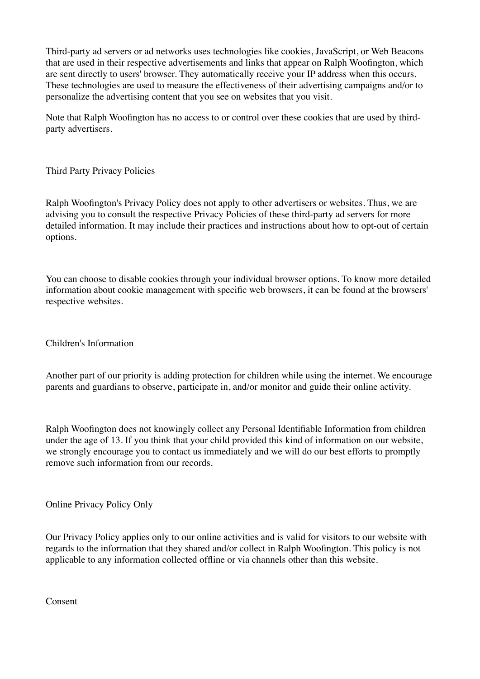Third-party ad servers or ad networks uses technologies like cookies, JavaScript, or Web Beacons that are used in their respective advertisements and links that appear on Ralph Woofington, which are sent directly to users' browser. They automatically receive your IP address when this occurs. These technologies are used to measure the effectiveness of their advertising campaigns and/or to personalize the advertising content that you see on websites that you visit.

Note that Ralph Woofington has no access to or control over these cookies that are used by thirdparty advertisers.

Third Party Privacy Policies

Ralph Woofington's Privacy Policy does not apply to other advertisers or websites. Thus, we are advising you to consult the respective Privacy Policies of these third-party ad servers for more detailed information. It may include their practices and instructions about how to opt-out of certain options.

You can choose to disable cookies through your individual browser options. To know more detailed information about cookie management with specific web browsers, it can be found at the browsers' respective websites.

Children's Information

Another part of our priority is adding protection for children while using the internet. We encourage parents and guardians to observe, participate in, and/or monitor and guide their online activity.

Ralph Woofington does not knowingly collect any Personal Identifiable Information from children under the age of 13. If you think that your child provided this kind of information on our website, we strongly encourage you to contact us immediately and we will do our best efforts to promptly remove such information from our records.

Online Privacy Policy Only

Our Privacy Policy applies only to our online activities and is valid for visitors to our website with regards to the information that they shared and/or collect in Ralph Woofington. This policy is not applicable to any information collected offline or via channels other than this website.

Consent